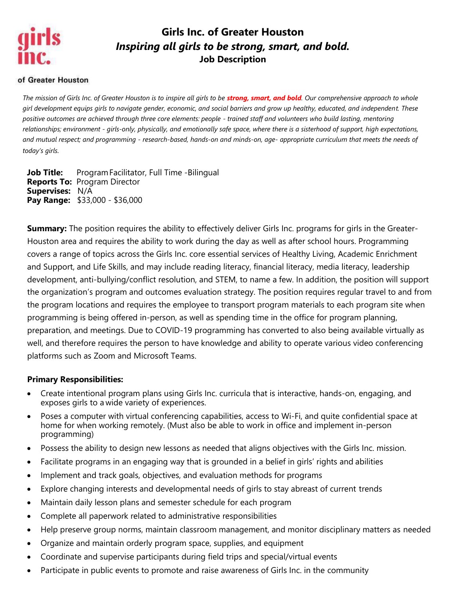

# **Girls Inc. of Greater Houston** *Inspiring all girls to be strong, smart, and bold.* **Job Description**

#### of Greater Houston

*The mission of Girls Inc. of Greater Houston is to inspire all girls to be strong, smart, and bold. Our comprehensive approach to whole girl development equips girls to navigate gender, economic, and social barriers and grow up healthy, educated, and independent. These positive outcomes are achieved through three core elements: people - trained staff and volunteers who build lasting, mentoring relationships; environment - girls-only, physically, and emotionally safe space, where there is a sisterhood of support, high expectations, and mutual respect; and programming - research-based, hands-on and minds-on, age- appropriate curriculum that meets the needs of today's girls.*

**Job Title:** Program Facilitator, Full Time -Bilingual **Reports To:** Program Director **Supervises:** N/A **Pay Range:** \$33,000 - \$36,000

**Summary:** The position requires the ability to effectively deliver Girls Inc. programs for girls in the Greater-Houston area and requires the ability to work during the day as well as after school hours. Programming covers a range of topics across the Girls Inc. core essential services of Healthy Living, Academic Enrichment and Support, and Life Skills, and may include reading literacy, financial literacy, media literacy, leadership development, anti-bullying/conflict resolution, and STEM, to name a few. In addition, the position will support the organization's program and outcomes evaluation strategy. The position requires regular travel to and from the program locations and requires the employee to transport program materials to each program site when programming is being offered in-person, as well as spending time in the office for program planning, preparation, and meetings. Due to COVID-19 programming has converted to also being available virtually as well, and therefore requires the person to have knowledge and ability to operate various video conferencing platforms such as Zoom and Microsoft Teams.

#### **Primary Responsibilities:**

- Create intentional program plans using Girls Inc. curricula that is interactive, hands-on, engaging, and exposes girls to a wide variety of experiences.
- Poses a computer with virtual conferencing capabilities, access to Wi-Fi, and quite confidential space at home for when working remotely. (Must also be able to work in office and implement in-person programming)
- Possess the ability to design new lessons as needed that aligns objectives with the Girls Inc. mission.
- Facilitate programs in an engaging way that is grounded in a belief in girls' rights and abilities
- Implement and track goals, objectives, and evaluation methods for programs
- Explore changing interests and developmental needs of girls to stay abreast of current trends
- Maintain daily lesson plans and semester schedule for each program
- Complete all paperwork related to administrative responsibilities
- Help preserve group norms, maintain classroom management, and monitor disciplinary matters as needed
- Organize and maintain orderly program space, supplies, and equipment
- Coordinate and supervise participants during field trips and special/virtual events
- Participate in public events to promote and raise awareness of Girls Inc. in the community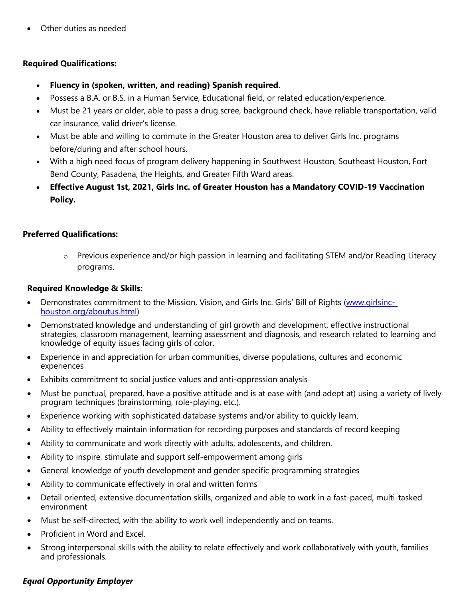Other duties as needed

### **Required Qualifications:**

- **Fluency in (spoken, written, and reading) Spanish required**.
- Possess a B.A. or B.S. in a Human Service, Educational field, or related education/experience.
- Must be 21 years or older, able to pass a drug scree, background check, have reliable transportation, valid car insurance, valid driver's license.
- Must be able and willing to commute in the Greater Houston area to deliver Girls Inc. programs before/during and after school hours.
- With a high need focus of program delivery happening in Southwest Houston, Southeast Houston, Fort Bend County, Pasadena, the Heights, and Greater Fifth Ward areas.
- **Effective August 1st, 2021, Girls Inc. of Greater Houston has a Mandatory COVID-19 Vaccination Policy.**

### **Preferred Qualifications:**

 $\circ$  Previous experience and/or high passion in learning and facilitating STEM and/or Reading Literacy programs.

### **Required Knowledge & Skills:**

- Demonstrates commitment to the Mission, Vision, and Girls Inc. Girls' Bill of Rights [\(www.girlsinc](http://www.girlsinc-houston.org/aboutus.html)[houston.org/aboutus.html\)](http://www.girlsinc-houston.org/aboutus.html)
- Demonstrated knowledge and understanding of girl growth and development, effective instructional strategies, classroom management, learning assessment and diagnosis, and research related to learning and knowledge of equity issues facing girls of color.
- Experience in and appreciation for urban communities, diverse populations, cultures and economic experiences
- Exhibits commitment to social justice values and anti-oppression analysis
- Must be punctual, prepared, have a positive attitude and is at ease with (and adept at) using a variety of lively program techniques (brainstorming, role-playing, etc.).
- Experience working with sophisticated database systems and/or ability to quickly learn.
- Ability to effectively maintain information for recording purposes and standards of record keeping
- Ability to communicate and work directly with adults, adolescents, and children.
- Ability to inspire, stimulate and support self-empowerment among girls
- General knowledge of youth development and gender specific programming strategies
- Ability to communicate effectively in oral and written forms
- Detail oriented, extensive documentation skills, organized and able to work in a fast-paced, multi-tasked environment
- Must be self-directed, with the ability to work well independently and on teams.
- Proficient in Word and Excel.
- Strong interpersonal skills with the ability to relate effectively and work collaboratively with youth, families and professionals.

## *Equal Opportunity Employer*